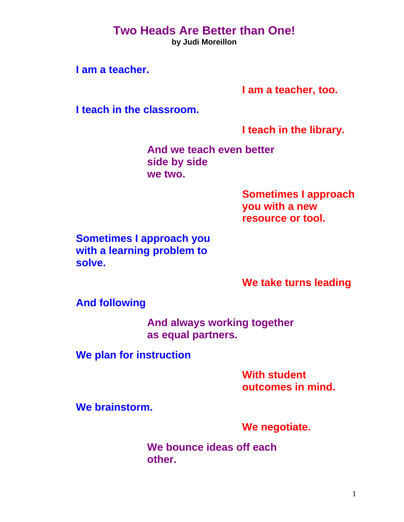## **Two Heads Are Better than One!**

**by Judi Moreillon** 

**I am a teacher.** 

**I am a teacher, too.** 

**I teach in the classroom.** 

**I teach in the library.** 

**And we teach even better side by side we two.** 

> **Sometimes I approach you with a new resource or tool.**

**Sometimes I approach you with a learning problem to solve.** 

**We take turns leading** 

**And following** 

**And always working together as equal partners.** 

**We plan for instruction** 

**With student outcomes in mind.** 

**We brainstorm.** 

**We negotiate.** 

**We bounce ideas off each other.**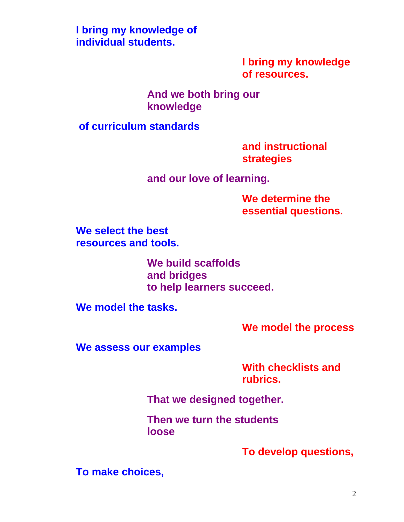**I bring my knowledge of individual students.** 

> **I bring my knowledge of resources.**

**And we both bring our knowledge** 

**of curriculum standards** 

**and instructional strategies** 

**and our love of learning.** 

**We determine the essential questions.** 

**We select the best resources and tools.** 

> **We build scaffolds and bridges to help learners succeed.**

**We model the tasks.** 

**We model the process** 

**We assess our examples** 

**With checklists and rubrics.** 

**That we designed together.** 

**Then we turn the students loose** 

**To develop questions,** 

**To make choices,**